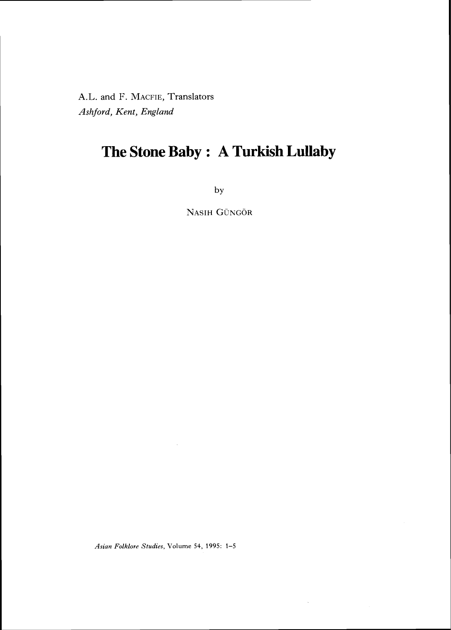A.L. and F. MACFIE, Translators *Ashford, Kent, England*

## **The Stone Baby : A Turkish Lullaby**

by

NASIH GÜNGÖR

Asian Folklore Studies, Volume 54, 1995: 1-5

 $\bar{z}$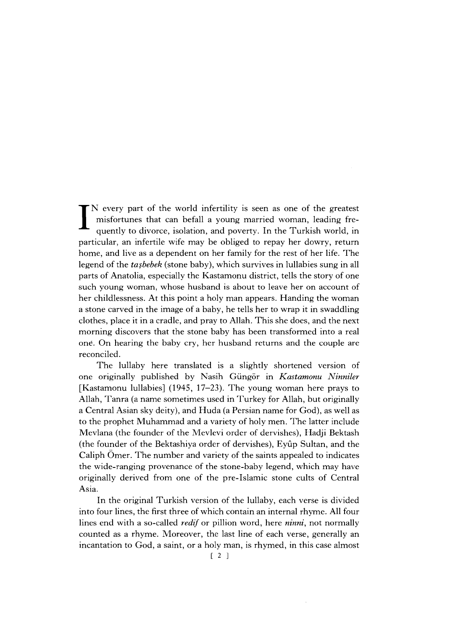IN every part of the world infertility is seen as one of the greatest misfortunes that can befall a young married woman, leading frequently to divorce, isolation, and poverty. In the Turkish world, in misfortunes that can befall a young married woman, leading frequently to divorce, isolation, and poverty. In the Turkish world, in particular, an infertile wife may be obliged to repay her dowry, return home, and live as a dependent on her family for the rest of her life. The legend of the *ta§bebek* (stone baby), which survives in lullabies sung in all parts of Anatolia, especially the Kastamonu district, tells the story of one such young woman, whose husband is about to leave her on account of her childlessness. At this point a holy man appears. Handing the woman a stone carved in the image of a baby, he tells her to wrap it in swaddling clothes, place it in a cradle, and pray to Allah. This she does, and the next morning discovers that the stone baby has been transformed into a real one. On hearing the baby cry, her husband returns and the couple are reconciled.

The lullaby here translated is a slightly shortened version of one originally published by Nasih Gungor in *Kastamonu Ninniler* [Kastamonu lullabies] (1945, 17–23). The young woman here prays to Allah, Tanra (a name sometimes used in Turkey for Allah, but originally a Central Asian sky deity), and Huda (a Persian name for God), as well as to the prophet Muhammad and a variety of holy men. The latter include Mevlana (the founder of the Mevlevi order of dervishes), Hadji Bektash (the founder of the Bektashiya order of dervishes), Eyup Sultan, and the Caliph Omer. The number and variety of the saints appealed to indicates the wide-ranging provenance of the stone-baby legend, which may have originally derived from one of the pre-Islamic stone cults of central Asia.

In the original Turkish version of the lullaby, each verse is divided into four lines, the first three of which contain an internal rhyme. All four lines end with a so-called *redif* or pillion word, here *ninni,* not normally counted as a rhyme. Moreover, the last line of each verse, generally an incantation to God, a saint, or a holy man, is rhymed, in this case almost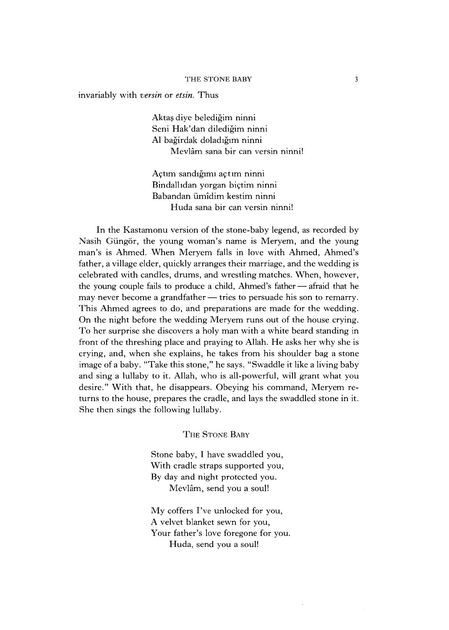## THE STONE BABY 3

invariably with *versin* or *etsin.* Thus

Akta§ diye beledigim ninni Seni Hak'dan diledigim ninni A1 bagirdak doladigim ninni Mevlam sana bir can versin ninni!

Agtim sandigimi agtim ninni Bindallidan yorgan bigtim ninni Babandan iimidim kestim ninni Huda sana bir can versin ninni!

In the Kastamonu version of the stone-baby legend, as recorded by Nasih Güngör, the young woman's name is Meryem, and the young man's is Ahmed. When Meryem falls in love with Ahmed, Ahmed's father, a village elder, quickly arranges their marriage, and the wedding is celebrated with candles, drums, and wrestling matches. When, however, the young couple fails to produce a child, Ahmed's father — afraid that he may never become a grandfather — tries to persuade his son to remarry. This Ahmed agrees to do, and preparations are made for the wedding. On the night before the wedding Meryem runs out of the house crying. To her surprise she discovers a holy man with a white beard standing in front of the threshing place and praying to Allah. He asks her why she is crying, and, when she explains, he takes from his shoulder bag a stone image of a baby. "Take this stone," he says. "Swaddle it like a living baby and sing a lullaby to it. Allah, who is all-powerful, will grant what you desire." With that, he disappears. Obeying his command, Meryem returns to the house, prepares the cradle, and lays the swaddled stone in it. She then sings the following lullaby.

THE STONE BABY

Stone baby, I have swaddled you, With cradle straps supported you, By day and night protected you. Mevlam, send you a soul!

 $Mv$  coffers I've unlocked for you, A velvet blanket sewn for you, Your father's love foregone for you. Huda, send you a soul!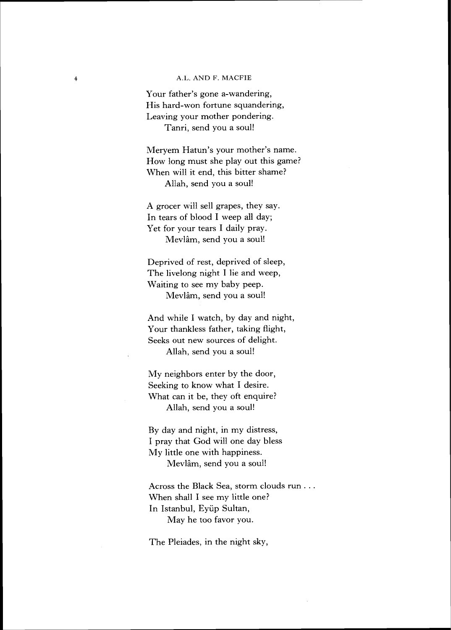## A.L. AND F. MACFIE

 $\overline{4}$ 

Your father's gone a-wandering, His hard-won fortune squandering, Leaving your mother pondering. Tanri, send you a soul!

Meryem Hatun's your mother's name. How long must she play out this game? When will it end, this bitter shame? Allah, send you a soul!

A grocer will sell grapes, they say. In tears of blood I weep all day; Yet for your tears I daily pray. Mevlam, send you a soul!

Deprived of rest, deprived of sleep, The livelong night I lie and weep, Waiting to see my baby peep. Mevlam, send you a soul!

And while I watch, by day and night, Your thankless father, taking flight, Seeks out new sources of delight. Allah, send you a soul!

My neighbors enter by the door, Seeking to know what I desire. What can it be, they oft enquire? Allah, send you a soul!

By day and night, in my distress, I pray that God will one day bless My little one with happiness. Mevlam, send you a soul!

Across the Black Sea, storm clouds run . . . When shall I see my little one? In Istanbul, Eyiip Sultan, May he too favor you.

The Pleiades, in the night sky,